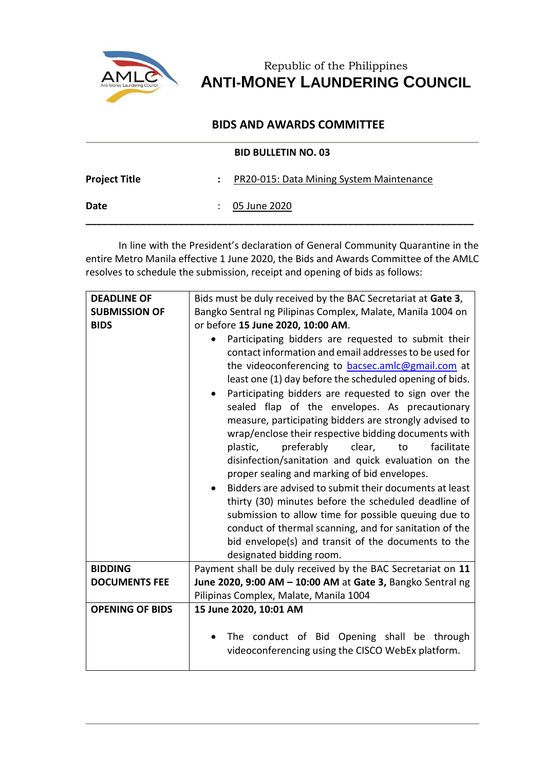

Republic of the Philippines **ANTI-MONEY LAUNDERING COUNCIL**

## **BIDS AND AWARDS COMMITTEE**

|                      | <b>BID BULLETIN NO. 03</b>               |
|----------------------|------------------------------------------|
| <b>Project Title</b> | PR20-015: Data Mining System Maintenance |
| Date                 | 05 June 2020                             |

In line with the President's declaration of General Community Quarantine in the entire Metro Manila effective 1 June 2020, the Bids and Awards Committee of the AMLC resolves to schedule the submission, receipt and opening of bids as follows:

| <b>DEADLINE OF</b>     | Bids must be duly received by the BAC Secretariat at Gate 3,                                                                                                                                                                                                                                                                                                                                                                                                                                                                                                                                                                                                                                                                                                                                                                                                                                                                                           |  |  |  |
|------------------------|--------------------------------------------------------------------------------------------------------------------------------------------------------------------------------------------------------------------------------------------------------------------------------------------------------------------------------------------------------------------------------------------------------------------------------------------------------------------------------------------------------------------------------------------------------------------------------------------------------------------------------------------------------------------------------------------------------------------------------------------------------------------------------------------------------------------------------------------------------------------------------------------------------------------------------------------------------|--|--|--|
| <b>SUBMISSION OF</b>   | Bangko Sentral ng Pilipinas Complex, Malate, Manila 1004 on                                                                                                                                                                                                                                                                                                                                                                                                                                                                                                                                                                                                                                                                                                                                                                                                                                                                                            |  |  |  |
| <b>BIDS</b>            | or before 15 June 2020, 10:00 AM.                                                                                                                                                                                                                                                                                                                                                                                                                                                                                                                                                                                                                                                                                                                                                                                                                                                                                                                      |  |  |  |
|                        | Participating bidders are requested to submit their<br>contact information and email addresses to be used for<br>the videoconferencing to <b>bacsec.amlc@gmail.com</b> at<br>least one (1) day before the scheduled opening of bids.<br>Participating bidders are requested to sign over the<br>sealed flap of the envelopes. As precautionary<br>measure, participating bidders are strongly advised to<br>wrap/enclose their respective bidding documents with<br>preferably<br>facilitate<br>plastic,<br>clear,<br>to<br>disinfection/sanitation and quick evaluation on the<br>proper sealing and marking of bid envelopes.<br>Bidders are advised to submit their documents at least<br>thirty (30) minutes before the scheduled deadline of<br>submission to allow time for possible queuing due to<br>conduct of thermal scanning, and for sanitation of the<br>bid envelope(s) and transit of the documents to the<br>designated bidding room. |  |  |  |
| <b>BIDDING</b>         | Payment shall be duly received by the BAC Secretariat on 11                                                                                                                                                                                                                                                                                                                                                                                                                                                                                                                                                                                                                                                                                                                                                                                                                                                                                            |  |  |  |
| <b>DOCUMENTS FEE</b>   | June 2020, 9:00 AM - 10:00 AM at Gate 3, Bangko Sentral ng                                                                                                                                                                                                                                                                                                                                                                                                                                                                                                                                                                                                                                                                                                                                                                                                                                                                                             |  |  |  |
|                        | Pilipinas Complex, Malate, Manila 1004                                                                                                                                                                                                                                                                                                                                                                                                                                                                                                                                                                                                                                                                                                                                                                                                                                                                                                                 |  |  |  |
| <b>OPENING OF BIDS</b> | 15 June 2020, 10:01 AM                                                                                                                                                                                                                                                                                                                                                                                                                                                                                                                                                                                                                                                                                                                                                                                                                                                                                                                                 |  |  |  |
|                        | The conduct of Bid Opening shall be through<br>videoconferencing using the CISCO WebEx platform.                                                                                                                                                                                                                                                                                                                                                                                                                                                                                                                                                                                                                                                                                                                                                                                                                                                       |  |  |  |